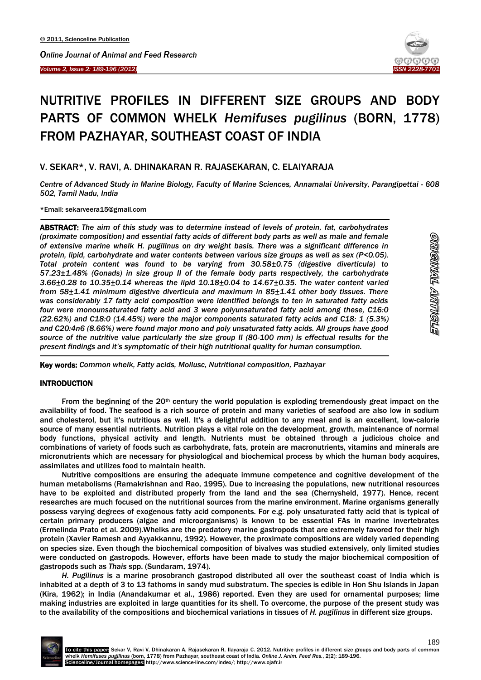#### *Volume 2, Issue 2: 189-196 (2012)*  Ī



# NUTRITIVE PROFILES IN DIFFERENT SIZE GROUPS AND BODY PARTS OF COMMON WHELK *Hemifuses pugilinus* (BORN, 1778) FROM PAZHAYAR, SOUTHEAST COAST OF INDIA

## V. SEKAR\*, V. RAVI, A. DHINAKARAN R. RAJASEKARAN, C. ELAIYARAJA

*Centre of Advanced Study in Marine Biology, Faculty of Marine Sciences, Annamalai University, Parangipettai - 608 502, Tamil Nadu, India*

\*Email: sekarveera15@gmail.com

**.** 

-

ABSTRACT: *The aim of this study was to determine instead of levels of protein, fat, carbohydrates (proximate composition) and essential fatty acids of different body parts as well as male and female of extensive marine whelk H. pugilinus on dry weight basis. There was a significant difference in protein, lipid, carbohydrate and water contents between various size groups as well as sex (P<0.05). Total protein content was found to be varying from 30.58±0.75 (digestive diverticula) to 57.23±1.48% (Gonads) in size group II of the female body parts respectively, the carbohydrate 3.66±0.28 to 10.35±0.14 whereas the lipid 10.18±0.04 to 14.67±0.35. The water content varied from 58±1.41 minimum digestive diverticula and maximum in 85±1.41 other body tissues. There was considerably 17 fatty acid composition were identified belongs to ten in saturated fatty acids four were monounsaturated fatty acid and 3 were polyunsaturated fatty acid among these, C16:0 (22.62%) and C18:0 (14.45%) were the major components saturated fatty acids and C18: 1 (5.3%) and C20:4n6 (8.66%) were found major mono and poly unsaturated fatty acids. All groups have good source of the nutritive value particularly the size group II (80-100 mm) is effectual results for the present findings and it's symptomatic of their high nutritional quality for human consumption.*

Key words: *Common whelk, Fatty acids, Mollusc, Nutritional composition, Pazhayar*

### **INTRODUCTION**

From the beginning of the  $20<sup>th</sup>$  century the world population is exploding tremendously great impact on the availability of food. The seafood is a rich source of protein and many varieties of seafood are also low in sodium and cholesterol, but it's nutritious as well. It's a delightful addition to any meal and is an excellent, low-calorie source of many essential nutrients. Nutrition plays a vital role on the development, growth, maintenance of normal body functions, physical activity and length. Nutrients must be obtained through a judicious choice and combinations of variety of foods such as carbohydrate, fats, protein are macronutrients, vitamins and minerals are micronutrients which are necessary for physiological and biochemical process by which the human body acquires, assimilates and utilizes food to maintain health.

Nutritive compositions are ensuring the adequate immune competence and cognitive development of the human metabolisms (Ramakrishnan and Rao, 1995). Due to increasing the populations, new nutritional resources have to be exploited and distributed properly from the land and the sea (Chernysheld, 1977). Hence, recent researches are much focused on the nutritional sources from the marine environment. Marine organisms generally possess varying degrees of exogenous fatty acid components. For e.g. poly unsaturated fatty acid that is typical of certain primary producers (algae and microorganisms) is known to be essential FAs in marine invertebrates (Ermelinda Prato et al. 2009).Whelks are the predatory marine gastropods that are extremely favored for their high protein (Xavier Ramesh and Ayyakkannu, 1992). However, the proximate compositions are widely varied depending on species size. Even though the biochemical composition of bivalves was studied extensively, only limited studies were conducted on gastropods. However, efforts have been made to study the major biochemical composition of gastropods such as *Thais* spp. (Sundaram, 1974).

*H. Pugilinus* is a marine prosobranch gastropod distributed all over the southeast coast of India which is inhabited at a depth of 3 to 13 fathoms in sandy mud substratum. The species is edible in Hon Shu Islands in Japan (Kira, 1962); in India (Anandakumar et al., 1986) reported. Even they are used for ornamental purposes; lime making industries are exploited in large quantities for its shell. To overcome, the purpose of the present study was to the availability of the compositions and biochemical variations in tissues of *H. pugilinus* in different size groups.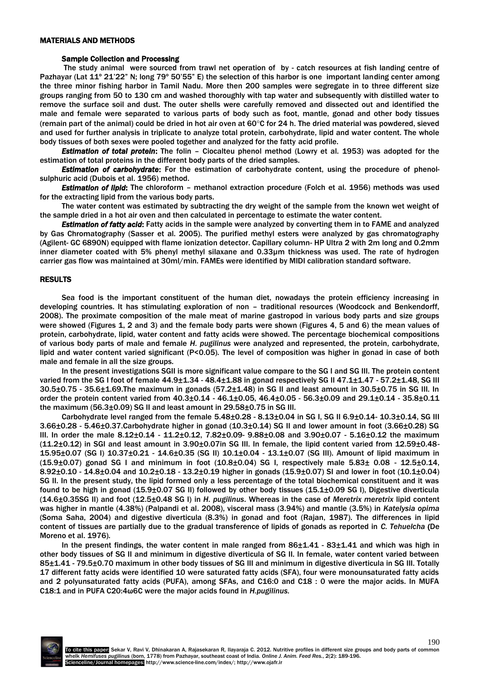#### MATERIALS AND METHODS

#### Sample Collection and Processing

The study animal were sourced from trawl net operation of by - catch resources at fish landing centre of Pazhayar (Lat 11º 21'22" N; long 79º 50'55" E) the selection of this harbor is one important landing center among the three minor fishing harbor in Tamil Nadu. More then 200 samples were segregate in to three different size groups ranging from 50 to 130 cm and washed thoroughly with tap water and subsequently with distilled water to remove the surface soil and dust. The outer shells were carefully removed and dissected out and identified the male and female were separated to various parts of body such as foot, mantle, gonad and other body tissues (remain part of the animal) could be dried in hot air oven at  $60^{\circ}$ C for 24 h. The dried material was powdered, sieved and used for further analysis in triplicate to analyze total protein, carbohydrate, lipid and water content. The whole body tissues of both sexes were pooled together and analyzed for the fatty acid profile.

*Estimation of total protein*: The folin – Ciocalteu phenol method (Lowry et al. 1953) was adopted for the estimation of total proteins in the different body parts of the dried samples.

*Estimation of carbohydrate*: For the estimation of carbohydrate content, using the procedure of phenolsulphuric acid (Dubois et al. 1956) method.

*Estimation of lipid*: The chloroform – methanol extraction procedure (Folch et al. 1956) methods was used for the extracting lipid from the various body parts.

The water content was estimated by subtracting the dry weight of the sample from the known wet weight of the sample dried in a hot air oven and then calculated in percentage to estimate the water content.

*Estimation of fatty acid*: Fatty acids in the sample were analyzed by converting them in to FAME and analyzed by Gas Chromatography (Sasser et al. 2005). The purified methyl esters were analyzed by gas chromatography (Agilent- GC 6890N) equipped with flame ionization detector. Capillary column- HP Ultra 2 with 2m long and 0.2mm inner diameter coated with 5% phenyl methyl silaxane and 0.33µm thickness was used. The rate of hydrogen carrier gas flow was maintained at 30ml/min. FAMEs were identified by MIDI calibration standard software.

#### RESULTS

Sea food is the important constituent of the human diet, nowadays the protein efficiency increasing in developing countries. It has stimulating exploration of non – traditional resources (Woodcock and Benkendorff, 2008). The proximate composition of the male meat of marine gastropod in various body parts and size groups were showed (Figures 1, 2 and 3) and the female body parts were shown (Figures 4, 5 and 6) the mean values of protein, carbohydrate, lipid, water content and fatty acids were showed. The percentage biochemical compositions of various body parts of male and female *H. pugilinus* were analyzed and represented, the protein, carbohydrate, lipid and water content varied significant (P<0.05). The level of composition was higher in gonad in case of both male and female in all the size groups.

In the present investigations SGII is more significant value compare to the SG I and SG III. The protein content varied from the SG I foot of female 44.9±1.34 - 48.4±1.88 in gonad respectively SG II 47.1±1.47 - 57.2±1.48, SG III 30.5±0.75 - 35.6±1.69.The maximum in gonads (57.2±1.48) in SG II and least amount in 30.5±0.75 in SG III. In order the protein content varied from 40.3±0.14 - 46.1±0.05, 46.4±0.05 - 56.3±0.09 and 29.1±0.14 - 35.8±0.11 the maximum (56.3±0.09) SG II and least amount in 29.58±0.75 in SG III.

Carbohydrate level ranged from the female 5.48±0.28 - 8.13±0.04 in SG I, SG II 6.9±0.14- 10.3±0.14, SG III 3.66±0.28 - 5.46±0.37.Carbohydrate higher in gonad (10.3±0.14) SG II and lower amount in foot (3.66±0.28) SG III. In order the male 8.12±0.14 - 11.2±0.12, 7.82±0.09- 9.88±0.08 and 3.90±0.07 - 5.16±0.12 the maximum (11.2±0.12) in SGI and least amount in 3.90±0.07in SG III. In female, the lipid content varied from 12.59±0.48- 15.95±0.07 (SG I) 10.37±0.21 - 14.6±0.35 (SG II) 10.1±0.04 - 13.1±0.07 (SG III). Amount of lipid maximum in  $(15.9\pm0.07)$  gonad SG I and minimum in foot  $(10.8\pm0.04)$  SG I, respectively male  $5.83\pm 0.08$  -  $12.5\pm0.14$ , 8.92±0.10 - 14.8±0.04 and 10.2±0.18 - 13.2±0.19 higher in gonads (15.9±0.07) SI and lower in foot (10.1±0.04) SG II. In the present study, the lipid formed only a less percentage of the total biochemical constituent and it was found to be high in gonad (15.9±0.07 SG II) followed by other body tissues (15.1±0.09 SG I), Digestive diverticula (14.6±0.35SG II) and foot (12.5±0.48 SG I) in *H. pugilinus*. Whereas in the case of *Meretrix meretrix* lipid content was higher in mantle (4.38%) (Palpandi et al. 2008), visceral mass (3.94%) and mantle (3.5%) in *Katelysia opima* (Soma Saha, 2004) and digestive diverticula (8.3%) in gonad and foot (Rajan, 1987). The differences in lipid content of tissues are partially due to the gradual transference of lipids of gonads as reported in *C. Tehuelcha* (De Moreno et al. 1976).

In the present findings, the water content in male ranged from 86 $\pm$ 1.41 - 83 $\pm$ 1.41 and which was high in other body tissues of SG II and minimum in digestive diverticula of SG II. In female, water content varied between 85±1.41 - 79.5±0.70 maximum in other body tissues of SG III and minimum in digestive diverticula in SG III. Totally 17 different fatty acids were identified 10 were saturated fatty acids (SFA), four were monounsaturated fatty acids and 2 polyunsaturated fatty acids (PUFA), among SFAs, and C16:0 and C18 : 0 were the major acids. In MUFA C18:1 and in PUFA C20:4ω6C were the major acids found in *H.pugilinus.*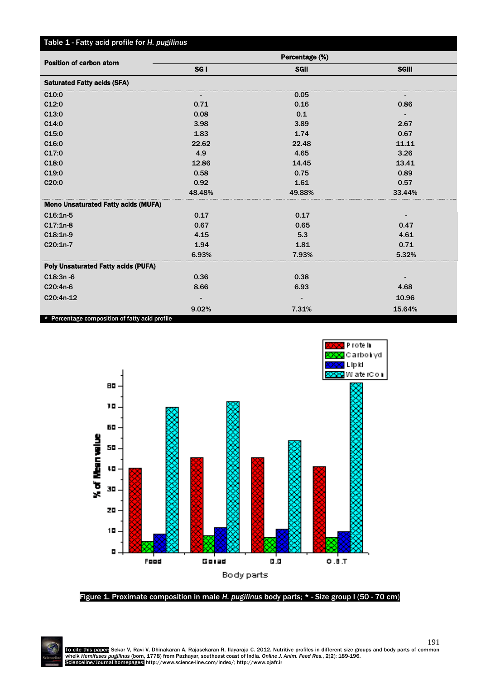| Table 1 - Fatty acid profile for H. pugilinus  |                 |             |              |
|------------------------------------------------|-----------------|-------------|--------------|
| <b>Position of carbon atom</b>                 | Percentage (%)  |             |              |
|                                                | SG <sub>I</sub> | <b>SGII</b> | <b>SGIII</b> |
| <b>Saturated Fatty acids (SFA)</b>             |                 |             |              |
| C10:0                                          |                 | 0.05        |              |
| C12:0                                          | 0.71            | 0.16        | 0.86         |
| C13:0                                          | 0.08            | 0.1         |              |
| C14:0                                          | 3.98            | 3.89        | 2.67         |
| C15:0                                          | 1.83            | 1.74        | 0.67         |
| C <sub>16:0</sub>                              | 22.62           | 22.48       | 11.11        |
| C17:0                                          | 4.9             | 4.65        | 3.26         |
| C18:0                                          | 12.86           | 14.45       | 13.41        |
| C <sub>19:0</sub>                              | 0.58            | 0.75        | 0.89         |
| C20:0                                          | 0.92            | 1.61        | 0.57         |
|                                                | 48.48%          | 49.88%      | 33.44%       |
| <b>Mono Unsaturated Fatty acids (MUFA)</b>     |                 |             |              |
| $C16:1n-5$                                     | 0.17            | 0.17        |              |
| $C17:1n-8$                                     | 0.67            | 0.65        | 0.47         |
| $C18:1n-9$                                     | 4.15            | 5.3         | 4.61         |
| C20:1n-7                                       | 1.94            | 1.81        | 0.71         |
|                                                | 6.93%           | 7.93%       | 5.32%        |
| <b>Poly Unsaturated Fatty acids (PUFA)</b>     |                 |             |              |
| $C18:3n - 6$                                   | 0.36            | 0.38        |              |
| C20:4n-6                                       | 8.66            | 6.93        | 4.68         |
| C20:4n-12                                      |                 |             | 10.96        |
|                                                | 9.02%           | 7.31%       | 15.64%       |
| * Percentage composition of fatty acid profile |                 |             |              |



Figure 1. Proximate composition in male *H. pugilinus* body parts; \* - Size group I (50 - 70 cm)

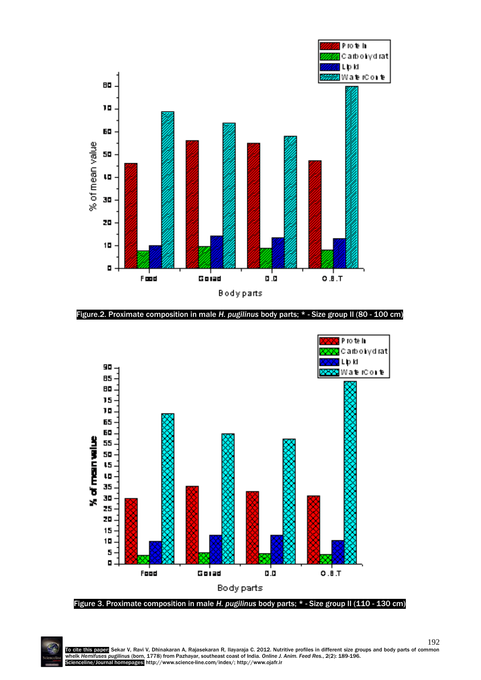

Figure.2. Proximate composition in male *H. pugilinus* body parts; \* - Size group II (80 - 100 cm)



Figure 3. Proximate composition in male *H. pugilinus* body parts; \* - Size group II (110 - 130 cm)

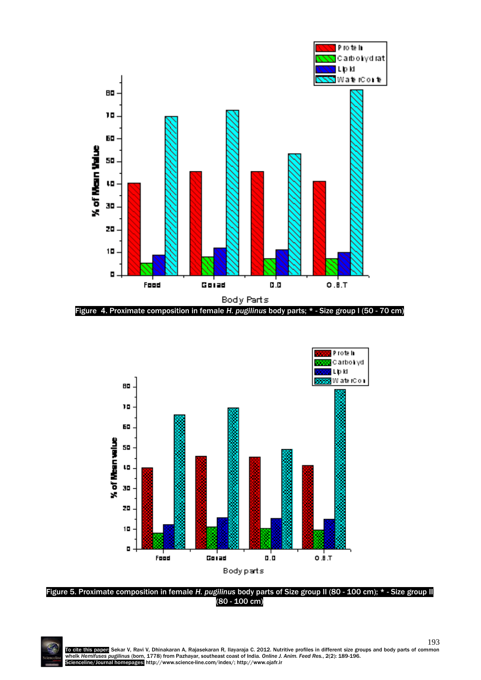



Figure 5. Proximate composition in female *H. pugilinus* body parts of Size group II (80 - 100 cm); \* - Size group II (80 - 100 cm)



193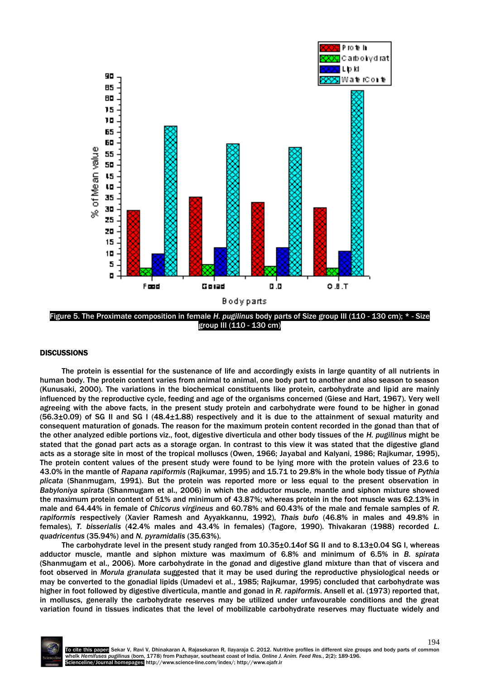

group III (110 - 130 cm)

#### **DISCUSSIONS**

The protein is essential for the sustenance of life and accordingly exists in large quantity of all nutrients in human body. The protein content varies from animal to animal, one body part to another and also season to season (Kunusaki, 2000). The variations in the biochemical constituents like protein, carbohydrate and lipid are mainly influenced by the reproductive cycle, feeding and age of the organisms concerned (Giese and Hart, 1967). Very well agreeing with the above facts, in the present study protein and carbohydrate were found to be higher in gonad (56.3±0.09) of SG II and SG I (48.4±1.88) respectively and it is due to the attainment of sexual maturity and consequent maturation of gonads. The reason for the maximum protein content recorded in the gonad than that of the other analyzed edible portions viz., foot, digestive diverticula and other body tissues of the *H. pugilinus* might be stated that the gonad part acts as a storage organ. In contrast to this view it was stated that the digestive gland acts as a storage site in most of the tropical molluscs (Owen, 1966; Jayabal and Kalyani, 1986; Rajkumar, 1995). The protein content values of the present study were found to be lying more with the protein values of 23.6 to 43.0% in the mantle of *Rapana rapiformis* (Rajkumar, 1995) and 15.71 to 29.8% in the whole body tissue of *Pythia plicata* (Shanmugam, 1991). But the protein was reported more or less equal to the present observation in *Babyloniya spirata* (Shanmugam et al., 2006) in which the adductor muscle, mantle and siphon mixture showed the maximum protein content of 51% and minimum of 43.87%; whereas protein in the foot muscle was 62.13% in male and 64.44% in female of *Chicorus virgineus* and 60.78% and 60.43% of the male and female samples of *R. rapiformis* respectively (Xavier Ramesh and Ayyakkannu, 1992), *Thais bufo* (46.8% in males and 49.8% in females), *T. bisserialis* (42.4% males and 43.4% in females) (Tagore, 1990). Thivakaran (1988) recorded *L. quadricentus* (35.94%) and *N. pyramidalis* (35.63%).

The carbohydrate level in the present study ranged from 10.35±0.14of SG II and to 8.13±0.04 SG I, whereas adductor muscle, mantle and siphon mixture was maximum of 6.8% and minimum of 6.5% in *B. spirata* (Shanmugam et al., 2006). More carbohydrate in the gonad and digestive gland mixture than that of viscera and foot observed in *Morula granulata* suggested that it may be used during the reproductive physiological needs or may be converted to the gonadial lipids (Umadevi et al., 1985; Rajkumar, 1995) concluded that carbohydrate was higher in foot followed by digestive diverticula, mantle and gonad in *R. rapiformis*. Ansell et al. (1973) reported that, in molluscs, generally the carbohydrate reserves may be utilized under unfavourable conditions and the great variation found in tissues indicates that the level of mobilizable carbohydrate reserves may fluctuate widely and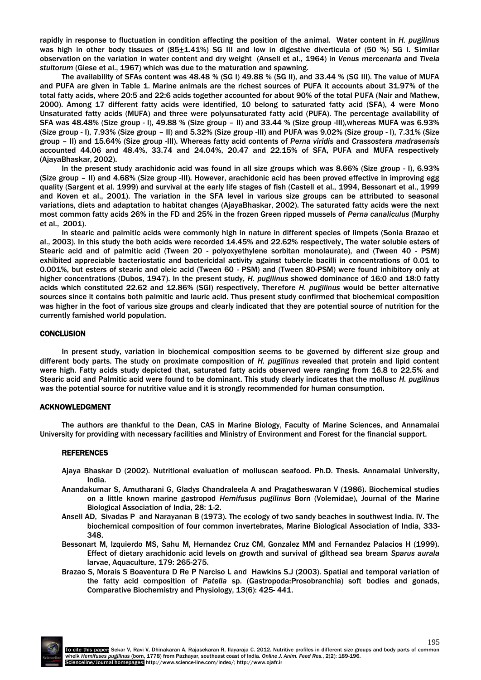rapidly in response to fluctuation in condition affecting the position of the animal. Water content in *H. pugilinus* was high in other body tissues of (85 $\pm$ 1.41%) SG III and low in digestive diverticula of (50 %) SG I. Similar observation on the variation in water content and dry weight (Ansell et al*.,* 1964) in *Venus mercenaria* and *Tivela stultorum* (Giese et al., 1967) which was due to the maturation and spawning.

The availability of SFAs content was 48.48 % (SG I) 49.88 % (SG II), and 33.44 % (SG III). The value of MUFA and PUFA are given in Table 1. Marine animals are the richest sources of PUFA it accounts about 31.97% of the total fatty acids, where 20:5 and 22:6 acids together accounted for about 90% of the total PUFA (Nair and Mathew, 2000). Among 17 different fatty acids were identified, 10 belong to saturated fatty acid (SFA), 4 were Mono Unsaturated fatty acids (MUFA) and three were polyunsaturated fatty acid (PUFA). The percentage availability of SFA was 48.48% (Size group - I), 49.88 % (Size group – II) and 33.44 % (Size group -III),whereas MUFA was 6.93% (Size group - I), 7.93% (Size group – II) and 5.32% (Size group -III) and PUFA was 9.02% (Size group - I), 7.31% (Size group – II) and 15.64% (Size group -III). Whereas fatty acid contents of *Perna viridis* and *Crassostera madrasensis* accounted 44.06 and 48.4%, 33.74 and 24.04%, 20.47 and 22.15% of SFA, PUFA and MUFA respectively (AjayaBhaskar, 2002).

In the present study arachidonic acid was found in all size groups which was 8.66% (Size group - I), 6.93% (Size group – II) and 4.68% (Size group -III). However, arachidonic acid has been proved effective in improving egg quality (Sargent et al. 1999) and survival at the early life stages of fish (Castell et al., 1994, Bessonart et al., 1999 and Koven et al., 2001). The variation in the SFA level in various size groups can be attributed to seasonal variations, diets and adaptation to habitat changes (AjayaBhaskar, 2002). The saturated fatty acids were the next most common fatty acids 26% in the FD and 25% in the frozen Green ripped mussels of *Perna canaliculus* (Murphy et al., 2001).

In stearic and palmitic acids were commonly high in nature in different species of limpets (Sonia Brazao et al., 2003). In this study the both acids were recorded 14.45% and 22.62% respectively. The water soluble esters of Stearic acid and of palmitic acid (Tween 20 - polyoxyethylene sorbitan monolaurate), and (Tween 40 - PSM) exhibited appreciable bacteriostatic and bactericidal activity against tubercle bacilli in concentrations of 0.01 to 0.001%, but esters of stearic and oleic acid (Tween 60 - PSM) and (Tween 80-PSM) were found inhibitory only at higher concentrations (Dubos, 1947). In the present study, *H. pugilinus* showed dominance of 16:0 and 18:0 fatty acids which constituted 22.62 and 12.86% (SGI) respectively, Therefore *H. pugilinus* would be better alternative sources since it contains both palmitic and lauric acid. Thus present study confirmed that biochemical composition was higher in the foot of various size groups and clearly indicated that they are potential source of nutrition for the currently famished world population.

#### **CONCLUSION**

In present study, variation in biochemical composition seems to be governed by different size group and different body parts. The study on proximate composition of *H. pugilinus* revealed that protein and lipid content were high. Fatty acids study depicted that, saturated fatty acids observed were ranging from 16.8 to 22.5% and Stearic acid and Palmitic acid were found to be dominant. This study clearly indicates that the mollusc *H. pugilinus*  was the potential source for nutritive value and it is strongly recommended for human consumption.

#### ACKNOWLEDGMENT

The authors are thankful to the Dean, CAS in Marine Biology, Faculty of Marine Sciences, and Annamalai University for providing with necessary facilities and Ministry of Environment and Forest for the financial support.

#### REFERENCES

- Ajaya Bhaskar D (2002). Nutritional evaluation of molluscan seafood. Ph.D. Thesis. Annamalai University, India.
- Anandakumar S, Amutharani G, Gladys Chandraleela A and Pragatheswaran V (1986). Biochemical studies on a little known marine gastropod *Hemifusus pugilinus* Born (Volemidae), Journal of the Marine Biological Association of India, 28: 1-2.
- Ansell AD, Sivadas P and Narayanan B (1973). The ecology of two sandy beaches in southwest India. IV. The biochemical composition of four common invertebrates, Marine Biological Association of India, 333- 348.
- Bessonart M, Izquierdo MS, Sahu M, Hernandez Cruz CM, Gonzalez MM and Fernandez Palacios H (1999). Effect of dietary arachidonic acid levels on growth and survival of gilthead sea bream *Sparus aurala*  larvae, Aquaculture, 179: 265-275.
- Brazao S, Morais S Boaventura D Re P Narciso L and Hawkins S.J (2003). Spatial and temporal variation of the fatty acid composition of *Patella* sp. (Gastropoda:Prosobranchia) soft bodies and gonads, Comparative Biochemistry and Physiology, 13(6): 425- 441.

195 To cite this paper: Sekar V, Ravi V, Dhinakaran A, Rajasekaran R, Ilayaraja C. 2012. Nutritive profiles in different size groups and body parts of common whelk *Hemifuses pugilinus* (born, 1778) from Pazhayar, southeast coast of India. *Online J. Anim. Feed Res.*, 2(2): 189-196. Scienceline/Journal homepages: http://www.science-line.com/index/; http://www.ojafr.ir